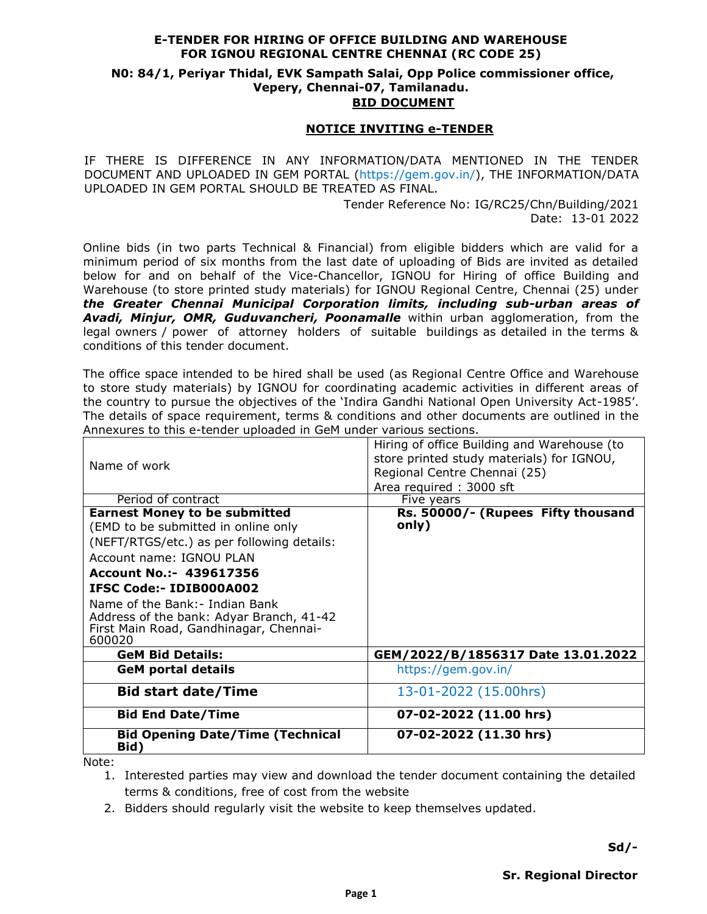### **E-TENDER FOR HIRING OF OFFICE BUILDING AND WAREHOUSE FOR IGNOU REGIONAL CENTRE CHENNAI (RC CODE 25)**

# **N0: 84/1, Periyar Thidal, EVK Sampath Salai, Opp Police commissioner office, Vepery, Chennai-07, Tamilanadu.**

### **BID DOCUMENT**

#### **NOTICE INVITING e-TENDER**

IF THERE IS DIFFERENCE IN ANY INFORMATION/DATA MENTIONED IN THE TENDER DOCUMENT AND UPLOADED IN GEM PORTAL (https://gem.gov.in/), THE INFORMATION/DATA UPLOADED IN GEM PORTAL SHOULD BE TREATED AS FINAL.

> Tender Reference No: IG/RC25/Chn/Building/2021 Date: 13-01 2022

Online bids (in two parts Technical & Financial) from eligible bidders which are valid for a minimum period of six months from the last date of uploading of Bids are invited as detailed below for and on behalf of the Vice-Chancellor, IGNOU for Hiring of office Building and Warehouse (to store printed study materials) for IGNOU Regional Centre, Chennai (25) under *the Greater Chennai Municipal Corporation limits, including sub-urban areas of Avadi, Minjur, OMR, Guduvancheri, Poonamalle* within urban agglomeration, from the legal owners / power of attorney holders of suitable buildings as detailed in the terms & conditions of this tender document.

The office space intended to be hired shall be used (as Regional Centre Office and Warehouse to store study materials) by IGNOU for coordinating academic activities in different areas of the country to pursue the objectives of the 'Indira Gandhi National Open University Act-1985'. The details of space requirement, terms & conditions and other documents are outlined in the Annexures to this e-tender uploaded in GeM under various sections.

| Name of work                                                                                                                   | Hiring of office Building and Warehouse (to<br>store printed study materials) for IGNOU,<br>Regional Centre Chennai (25)<br>Area required: 3000 sft |
|--------------------------------------------------------------------------------------------------------------------------------|-----------------------------------------------------------------------------------------------------------------------------------------------------|
| Period of contract                                                                                                             | Five years                                                                                                                                          |
| <b>Earnest Money to be submitted</b>                                                                                           | Rs. 50000/- (Rupees Fifty thousand                                                                                                                  |
| (EMD to be submitted in online only                                                                                            | only)                                                                                                                                               |
| (NEFT/RTGS/etc.) as per following details:                                                                                     |                                                                                                                                                     |
| Account name: IGNOU PLAN                                                                                                       |                                                                                                                                                     |
| Account No.:- 439617356                                                                                                        |                                                                                                                                                     |
| <b>IFSC Code:- IDIB000A002</b>                                                                                                 |                                                                                                                                                     |
| Name of the Bank:- Indian Bank<br>Address of the bank: Adyar Branch, 41-42<br>First Main Road, Gandhinagar, Chennai-<br>600020 |                                                                                                                                                     |
| <b>GeM Bid Details:</b>                                                                                                        | GEM/2022/B/1856317 Date 13.01.2022                                                                                                                  |
| <b>GeM portal details</b>                                                                                                      | https://gem.gov.in/                                                                                                                                 |
| <b>Bid start date/Time</b>                                                                                                     | 13-01-2022 (15.00hrs)                                                                                                                               |
| <b>Bid End Date/Time</b>                                                                                                       | 07-02-2022 (11.00 hrs)                                                                                                                              |
| <b>Bid Opening Date/Time (Technical</b><br>Bid)<br>$N + L$                                                                     | 07-02-2022 (11.30 hrs)                                                                                                                              |

Note:

1. Interested parties may view and download the tender document containing the detailed terms & conditions, free of cost from the website

2. Bidders should regularly visit the website to keep themselves updated.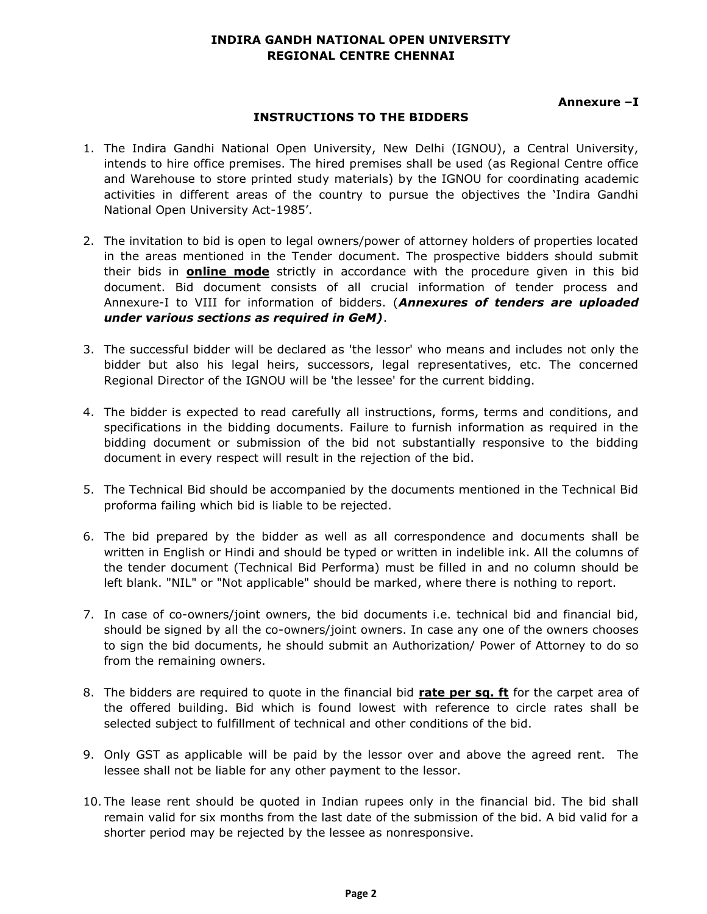### **INDIRA GANDH NATIONAL OPEN UNIVERSITY REGIONAL CENTRE CHENNAI**

### **Annexure –I**

### **INSTRUCTIONS TO THE BIDDERS**

- 1. The Indira Gandhi National Open University, New Delhi (IGNOU), a Central University, intends to hire office premises. The hired premises shall be used (as Regional Centre office and Warehouse to store printed study materials) by the IGNOU for coordinating academic activities in different areas of the country to pursue the objectives the 'Indira Gandhi National Open University Act-1985'.
- 2. The invitation to bid is open to legal owners/power of attorney holders of properties located in the areas mentioned in the Tender document. The prospective bidders should submit their bids in **online mode** strictly in accordance with the procedure given in this bid document. Bid document consists of all crucial information of tender process and Annexure-I to VIII for information of bidders. (*Annexures of tenders are uploaded under various sections as required in GeM)*.
- 3. The successful bidder will be declared as 'the lessor' who means and includes not only the bidder but also his legal heirs, successors, legal representatives, etc. The concerned Regional Director of the IGNOU will be 'the lessee' for the current bidding.
- 4. The bidder is expected to read carefully all instructions, forms, terms and conditions, and specifications in the bidding documents. Failure to furnish information as required in the bidding document or submission of the bid not substantially responsive to the bidding document in every respect will result in the rejection of the bid.
- 5. The Technical Bid should be accompanied by the documents mentioned in the Technical Bid proforma failing which bid is liable to be rejected.
- 6. The bid prepared by the bidder as well as all correspondence and documents shall be written in English or Hindi and should be typed or written in indelible ink. All the columns of the tender document (Technical Bid Performa) must be filled in and no column should be left blank. "NIL" or "Not applicable" should be marked, where there is nothing to report.
- 7. In case of co-owners/joint owners, the bid documents i.e. technical bid and financial bid, should be signed by all the co-owners/joint owners. In case any one of the owners chooses to sign the bid documents, he should submit an Authorization/ Power of Attorney to do so from the remaining owners.
- 8. The bidders are required to quote in the financial bid **rate per sq. ft** for the carpet area of the offered building. Bid which is found lowest with reference to circle rates shall be selected subject to fulfillment of technical and other conditions of the bid.
- 9. Only GST as applicable will be paid by the lessor over and above the agreed rent. The lessee shall not be liable for any other payment to the lessor.
- 10. The lease rent should be quoted in Indian rupees only in the financial bid. The bid shall remain valid for six months from the last date of the submission of the bid. A bid valid for a shorter period may be rejected by the lessee as nonresponsive.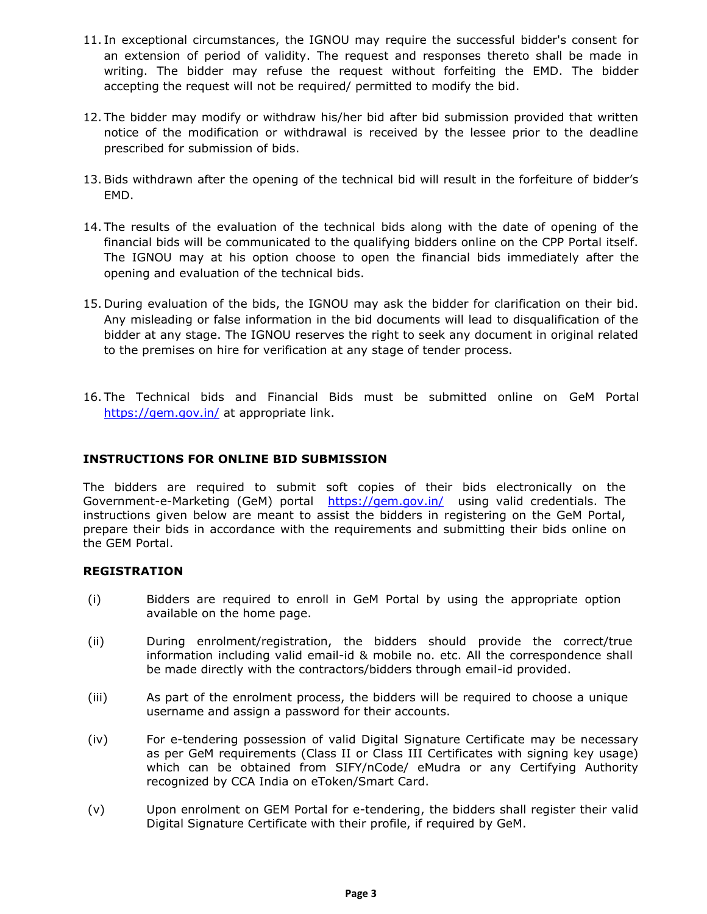- 11. In exceptional circumstances, the IGNOU may require the successful bidder's consent for an extension of period of validity. The request and responses thereto shall be made in writing. The bidder may refuse the request without forfeiting the EMD. The bidder accepting the request will not be required/ permitted to modify the bid.
- 12. The bidder may modify or withdraw his/her bid after bid submission provided that written notice of the modification or withdrawal is received by the lessee prior to the deadline prescribed for submission of bids.
- 13.Bids withdrawn after the opening of the technical bid will result in the forfeiture of bidder's EMD.
- 14. The results of the evaluation of the technical bids along with the date of opening of the financial bids will be communicated to the qualifying bidders online on the CPP Portal itself. The IGNOU may at his option choose to open the financial bids immediately after the opening and evaluation of the technical bids.
- 15. During evaluation of the bids, the IGNOU may ask the bidder for clarification on their bid. Any misleading or false information in the bid documents will lead to disqualification of the bidder at any stage. The IGNOU reserves the right to seek any document in original related to the premises on hire for verification at any stage of tender process.
- 16. The Technical bids and Financial Bids must be submitted online on GeM Portal <https://gem.gov.in/> at appropriate link.

### **INSTRUCTIONS FOR ONLINE BID SUBMISSION**

The bidders are required to submit soft copies of their bids electronically on the Government-e-Marketing (GeM) portal <https://gem.gov.in/>using valid credentials. The instructions given below are meant to assist the bidders in registering on the GeM Portal, prepare their bids in accordance with the requirements and submitting their bids online on the GEM Portal.

#### **REGISTRATION**

- (i) Bidders are required to enroll in GeM Portal by using the appropriate option available on the home page.
- (ii) During enrolment/registration, the bidders should provide the correct/true information including valid email-id & mobile no. etc. All the correspondence shall be made directly with the contractors/bidders through email-id provided.
- (iii) As part of the enrolment process, the bidders will be required to choose a unique username and assign a password for their accounts.
- (iv) For e-tendering possession of valid Digital Signature Certificate may be necessary as per GeM requirements (Class II or Class III Certificates with signing key usage) which can be obtained from SIFY/nCode/ eMudra or any Certifying Authority recognized by CCA India on eToken/Smart Card.
- (v) Upon enrolment on GEM Portal for e-tendering, the bidders shall register their valid Digital Signature Certificate with their profile, if required by GeM.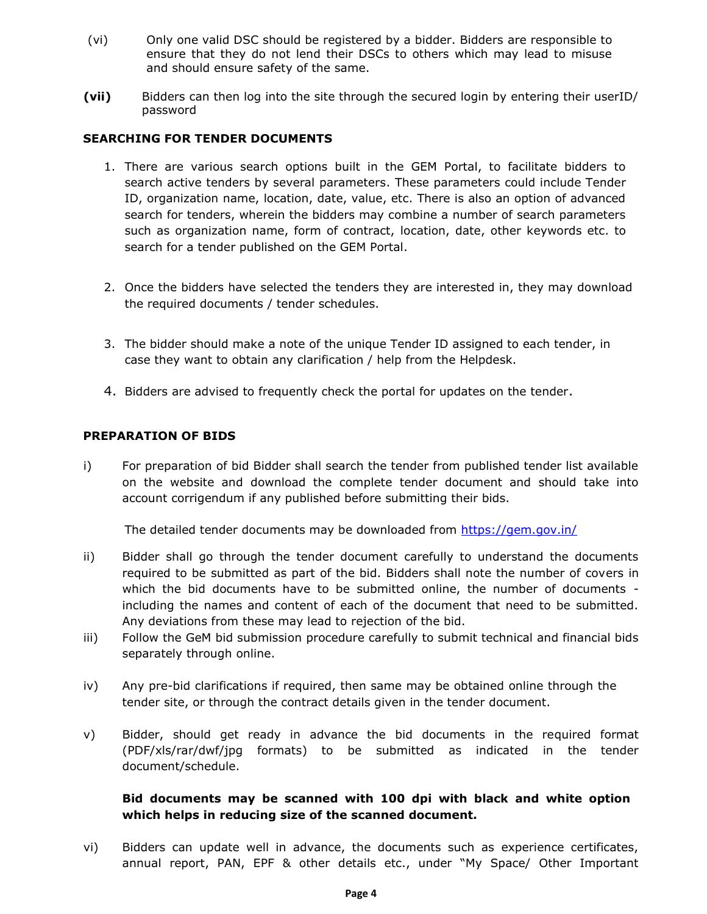- (vi) Only one valid DSC should be registered by a bidder. Bidders are responsible to ensure that they do not lend their DSCs to others which may lead to misuse and should ensure safety of the same.
- **(vii)** Bidders can then log into the site through the secured login by entering their userID/ password

### **SEARCHING FOR TENDER DOCUMENTS**

- 1. There are various search options built in the GEM Portal, to facilitate bidders to search active tenders by several parameters. These parameters could include Tender ID, organization name, location, date, value, etc. There is also an option of advanced search for tenders, wherein the bidders may combine a number of search parameters such as organization name, form of contract, location, date, other keywords etc. to search for a tender published on the GEM Portal.
- 2. Once the bidders have selected the tenders they are interested in, they may download the required documents / tender schedules.
- 3. The bidder should make a note of the unique Tender ID assigned to each tender, in case they want to obtain any clarification / help from the Helpdesk.
- 4. Bidders are advised to frequently check the portal for updates on the tender.

#### **PREPARATION OF BIDS**

i) For preparation of bid Bidder shall search the tender from published tender list available on the website and download the complete tender document and should take into account corrigendum if any published before submitting their bids.

The detailed tender documents may be downloaded from<https://gem.gov.in/>

- ii) Bidder shall go through the tender document carefully to understand the documents required to be submitted as part of the bid. Bidders shall note the number of covers in which the bid documents have to be submitted online, the number of documents including the names and content of each of the document that need to be submitted. Any deviations from these may lead to rejection of the bid.
- iii) Follow the GeM bid submission procedure carefully to submit technical and financial bids separately through online.
- iv) Any pre-bid clarifications if required, then same may be obtained online through the tender site, or through the contract details given in the tender document.
- v) Bidder, should get ready in advance the bid documents in the required format (PDF/xls/rar/dwf/jpg formats) to be submitted as indicated in the tender document/schedule.

### **Bid documents may be scanned with 100 dpi with black and white option which helps in reducing size of the scanned document.**

vi) Bidders can update well in advance, the documents such as experience certificates, annual report, PAN, EPF & other details etc., under "My Space/ Other Important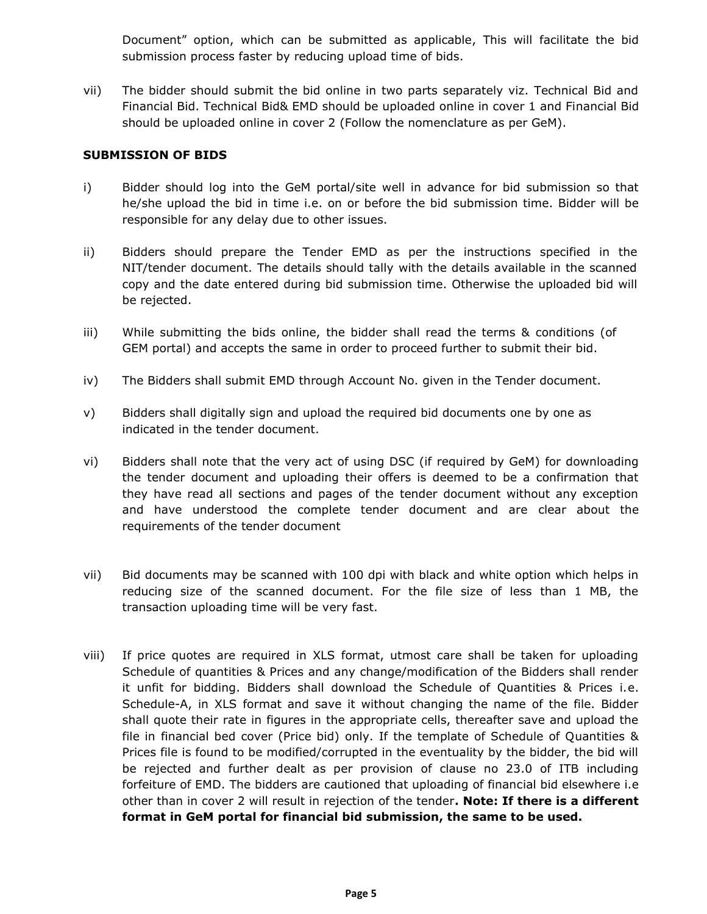Document" option, which can be submitted as applicable, This will facilitate the bid submission process faster by reducing upload time of bids.

vii) The bidder should submit the bid online in two parts separately viz. Technical Bid and Financial Bid. Technical Bid& EMD should be uploaded online in cover 1 and Financial Bid should be uploaded online in cover 2 (Follow the nomenclature as per GeM).

#### **SUBMISSION OF BIDS**

- i) Bidder should log into the GeM portal/site well in advance for bid submission so that he/she upload the bid in time i.e. on or before the bid submission time. Bidder will be responsible for any delay due to other issues.
- ii) Bidders should prepare the Tender EMD as per the instructions specified in the NIT/tender document. The details should tally with the details available in the scanned copy and the date entered during bid submission time. Otherwise the uploaded bid will be rejected.
- iii) While submitting the bids online, the bidder shall read the terms & conditions (of GEM portal) and accepts the same in order to proceed further to submit their bid.
- iv) The Bidders shall submit EMD through Account No. given in the Tender document.
- v) Bidders shall digitally sign and upload the required bid documents one by one as indicated in the tender document.
- vi) Bidders shall note that the very act of using DSC (if required by GeM) for downloading the tender document and uploading their offers is deemed to be a confirmation that they have read all sections and pages of the tender document without any exception and have understood the complete tender document and are clear about the requirements of the tender document
- vii) Bid documents may be scanned with 100 dpi with black and white option which helps in reducing size of the scanned document. For the file size of less than 1 MB, the transaction uploading time will be very fast.
- viii) If price quotes are required in XLS format, utmost care shall be taken for uploading Schedule of quantities & Prices and any change/modification of the Bidders shall render it unfit for bidding. Bidders shall download the Schedule of Quantities & Prices i.e. Schedule-A, in XLS format and save it without changing the name of the file. Bidder shall quote their rate in figures in the appropriate cells, thereafter save and upload the file in financial bed cover (Price bid) only. If the template of Schedule of Quantities & Prices file is found to be modified/corrupted in the eventuality by the bidder, the bid will be rejected and further dealt as per provision of clause no 23.0 of ITB including forfeiture of EMD. The bidders are cautioned that uploading of financial bid elsewhere i.e other than in cover 2 will result in rejection of the tender**. Note: If there is a different format in GeM portal for financial bid submission, the same to be used.**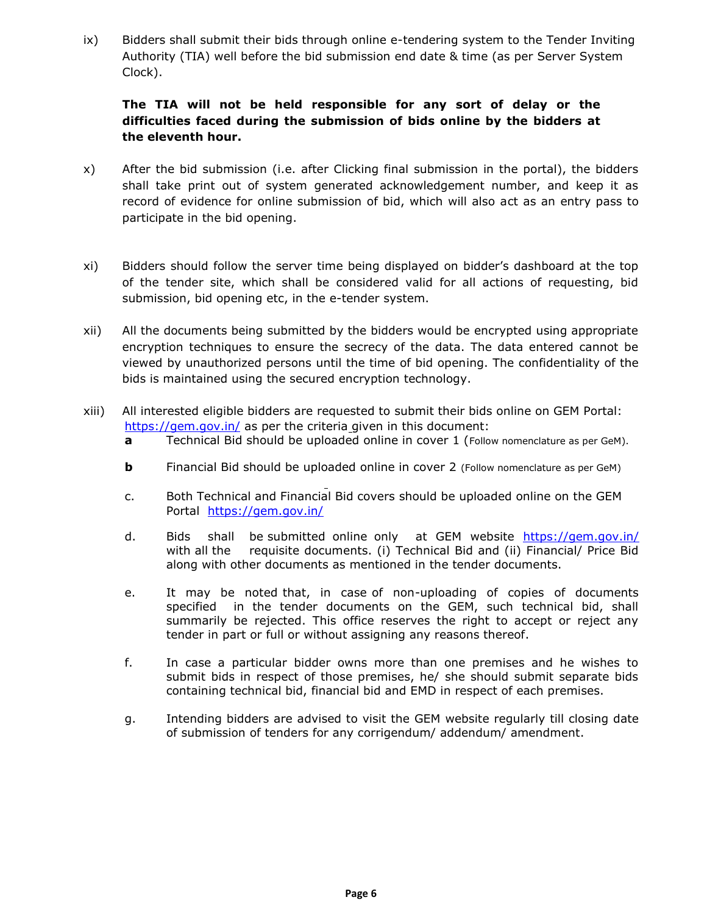ix) Bidders shall submit their bids through online e-tendering system to the Tender Inviting Authority (TIA) well before the bid submission end date & time (as per Server System Clock).

### **The TIA will not be held responsible for any sort of delay or the difficulties faced during the submission of bids online by the bidders at the eleventh hour.**

- x) After the bid submission (i.e. after Clicking final submission in the portal), the bidders shall take print out of system generated acknowledgement number, and keep it as record of evidence for online submission of bid, which will also act as an entry pass to participate in the bid opening.
- xi) Bidders should follow the server time being displayed on bidder's dashboard at the top of the tender site, which shall be considered valid for all actions of requesting, bid submission, bid opening etc, in the e-tender system.
- xii) All the documents being submitted by the bidders would be encrypted using appropriate encryption techniques to ensure the secrecy of the data. The data entered cannot be viewed by unauthorized persons until the time of bid opening. The confidentiality of the bids is maintained using the secured encryption technology.
- xiii) All interested eligible bidders are requested to submit their bids online on GEM Portal: <https://gem.gov.in/> as per the criteria given in this document:
	- **a** Technical Bid should be uploaded online in cover 1 (Follow nomenclature as per GeM).
	- **b** Financial Bid should be uploaded online in cover 2 (Follow nomenclature as per GeM)
	- c. Both Technical and Financial Bid covers should be uploaded online on the GEM Portal <https://gem.gov.in/>
	- d. Bids shall be submitted online only at GEM website <https://gem.gov.in/> with all the requisite documents. (i) Technical Bid and (ii) Financial/ Price Bid along with other documents as mentioned in the tender documents.
	- e. It may be noted that, in case of non-uploading of copies of documents specified in the tender documents on the GEM, such technical bid, shall summarily be rejected. This office reserves the right to accept or reject any tender in part or full or without assigning any reasons thereof.
	- f. In case a particular bidder owns more than one premises and he wishes to submit bids in respect of those premises, he/ she should submit separate bids containing technical bid, financial bid and EMD in respect of each premises.
	- g. Intending bidders are advised to visit the [GEM](http://www.cexchd1.gov.in/) [website regularly till closing date](http://www.cexchd1.gov.in/)  [of](http://www.cexchd1.gov.in/) submission of tenders for any corrigendum/ addendum/ amendment.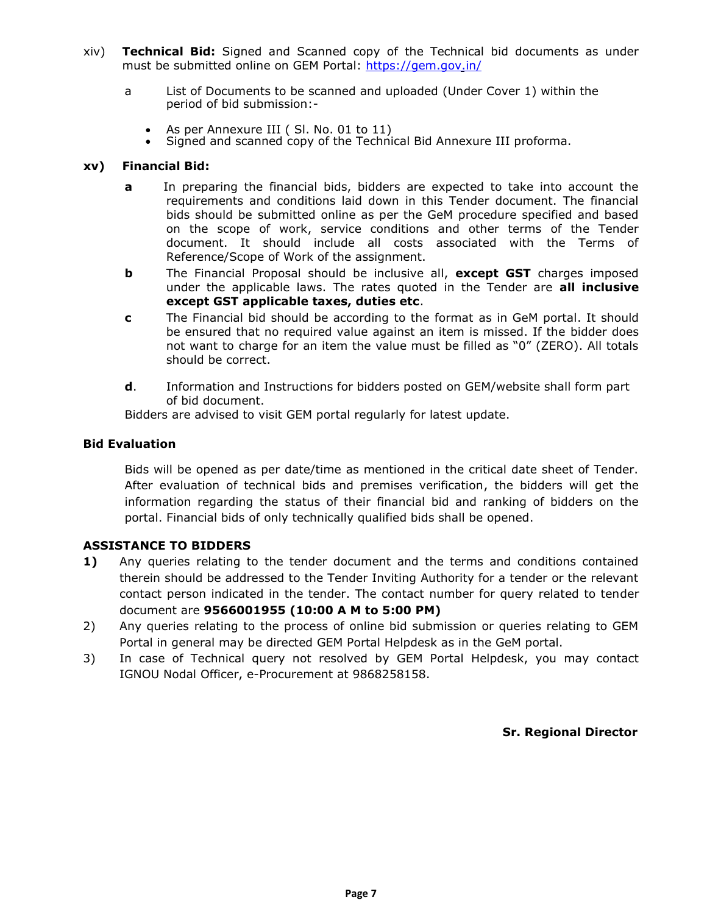- xiv) **Technical Bid:** Signed and Scanned copy of the Technical bid documents as under must be submitted online on GEM Portal:<https://gem.gov.in/>
	- a List of Documents to be scanned and uploaded (Under Cover 1) within the period of bid submission:-
		- As per Annexure III ( Sl. No. 01 to 11)
		- Signed and scanned copy of the Technical Bid Annexure III proforma.

#### **xv) Financial Bid:**

- **a** In preparing the financial bids, bidders are expected to take into account the requirements and conditions laid down in this Tender document. The financial bids should be submitted online as per the GeM procedure specified and based on the scope of work, service conditions and other terms of the Tender document. It should include all costs associated with the Terms of Reference/Scope of Work of the assignment.
- **b** The Financial Proposal should be inclusive all, **except GST** charges imposed under the applicable laws. The rates quoted in the Tender are **all inclusive except GST applicable taxes, duties etc**.
- **c** The Financial bid should be according to the format as in GeM portal. It should be ensured that no required value against an item is missed. If the bidder does not want to charge for an item the value must be filled as "0" (ZERO). All totals should be correct.
- **d**. Information and Instructions for bidders posted on GEM/website shall form part of bid document.

Bidders are advised to visit GEM portal regularly for latest update.

#### **Bid Evaluation**

Bids will be opened as per date/time as mentioned in the critical date sheet of Tender. After evaluation of technical bids and premises verification, the bidders will get the information regarding the status of their financial bid and ranking of bidders on the portal. Financial bids of only technically qualified bids shall be opened.

#### **ASSISTANCE TO BIDDERS**

- **1)** Any queries relating to the tender document and the terms and conditions contained therein should be addressed to the Tender Inviting Authority for a tender or the relevant contact person indicated in the tender. The contact number for query related to tender document are **9566001955 (10:00 A M to 5:00 PM)**
- 2) Any queries relating to the process of online bid submission or queries relating to GEM Portal in general may be directed GEM Portal Helpdesk as in the GeM portal.
- 3) In case of Technical query not resolved by GEM Portal Helpdesk, you may contact IGNOU Nodal Officer, e-Procurement at 9868258158.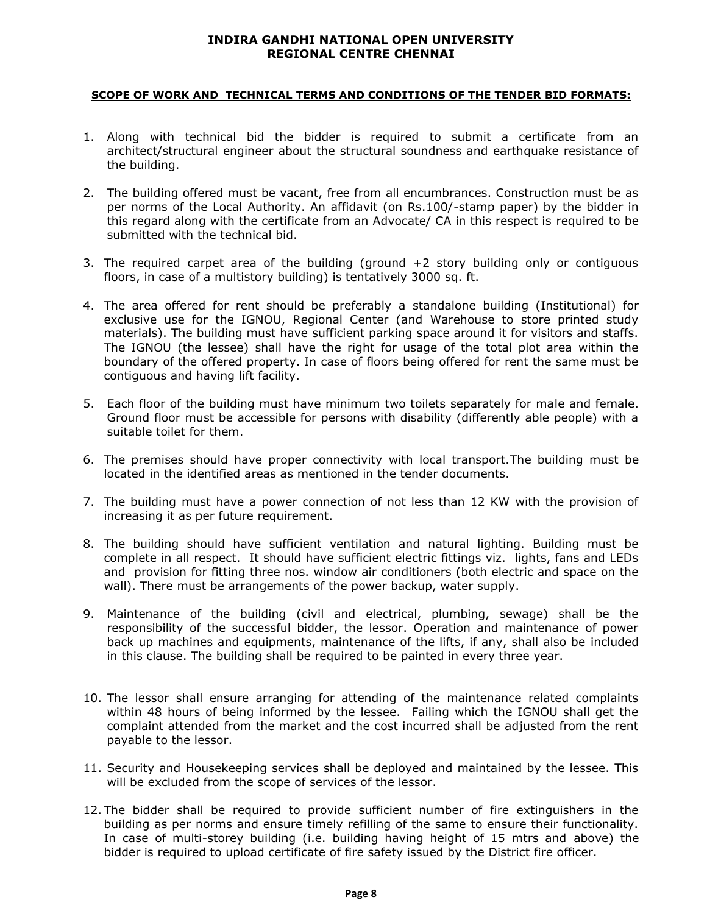#### **INDIRA GANDHI NATIONAL OPEN UNIVERSITY REGIONAL CENTRE CHENNAI**

#### **SCOPE OF WORK AND TECHNICAL TERMS AND CONDITIONS OF THE TENDER BID FORMATS:**

- 1. Along with technical bid the bidder is required to submit a certificate from an architect/structural engineer about the structural soundness and earthquake resistance of the building.
- 2. The building offered must be vacant, free from all encumbrances. Construction must be as per norms of the Local Authority. An affidavit (on Rs.100/-stamp paper) by the bidder in this regard along with the certificate from an Advocate/ CA in this respect is required to be submitted with the technical bid.
- 3. The required carpet area of the building (ground +2 story building only or contiguous floors, in case of a multistory building) is tentatively 3000 sq. ft.
- 4. The area offered for rent should be preferably a standalone building (Institutional) for exclusive use for the IGNOU, Regional Center (and Warehouse to store printed study materials). The building must have sufficient parking space around it for visitors and staffs. The IGNOU (the lessee) shall have the right for usage of the total plot area within the boundary of the offered property. In case of floors being offered for rent the same must be contiguous and having lift facility.
- 5. Each floor of the building must have minimum two toilets separately for male and female. Ground floor must be accessible for persons with disability (differently able people) with a suitable toilet for them.
- 6. The premises should have proper connectivity with local transport.The building must be located in the identified areas as mentioned in the tender documents.
- 7. The building must have a power connection of not less than 12 KW with the provision of increasing it as per future requirement.
- 8. The building should have sufficient ventilation and natural lighting. Building must be complete in all respect. It should have sufficient electric fittings viz. lights, fans and LEDs and provision for fitting three nos. window air conditioners (both electric and space on the wall). There must be arrangements of the power backup, water supply.
- 9. Maintenance of the building (civil and electrical, plumbing, sewage) shall be the responsibility of the successful bidder, the lessor. Operation and maintenance of power back up machines and equipments, maintenance of the lifts, if any, shall also be included in this clause. The building shall be required to be painted in every three year.
- 10. The lessor shall ensure arranging for attending of the maintenance related complaints within 48 hours of being informed by the lessee. Failing which the IGNOU shall get the complaint attended from the market and the cost incurred shall be adjusted from the rent payable to the lessor.
- 11. Security and Housekeeping services shall be deployed and maintained by the lessee. This will be excluded from the scope of services of the lessor.
- 12. The bidder shall be required to provide sufficient number of fire extinguishers in the building as per norms and ensure timely refilling of the same to ensure their functionality. In case of multi-storey building (i.e. building having height of 15 mtrs and above) the bidder is required to upload certificate of fire safety issued by the District fire officer.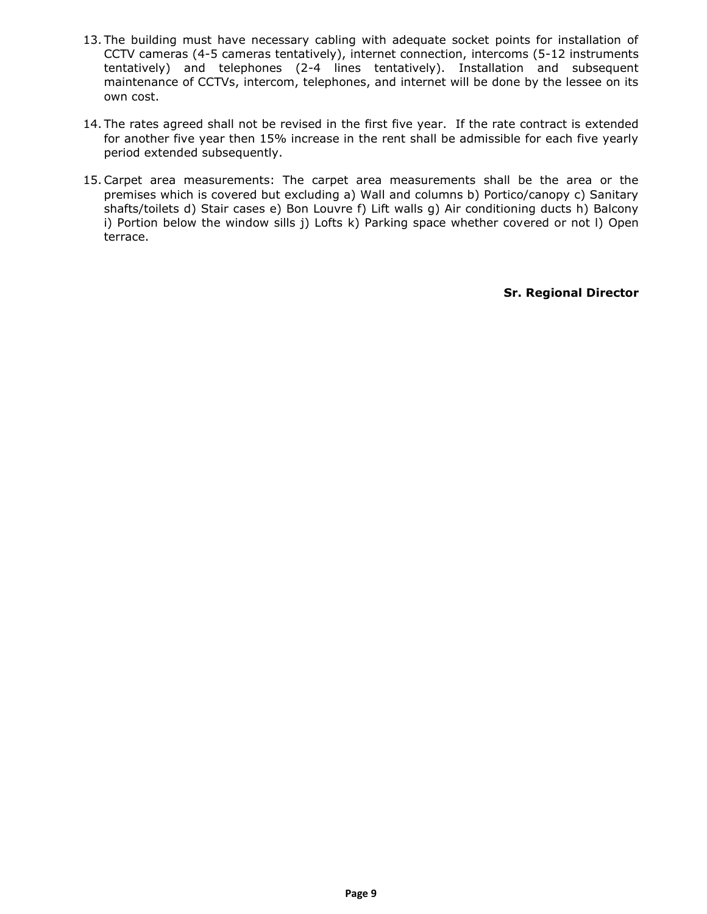- 13. The building must have necessary cabling with adequate socket points for installation of CCTV cameras (4-5 cameras tentatively), internet connection, intercoms (5-12 instruments tentatively) and telephones (2-4 lines tentatively). Installation and subsequent maintenance of CCTVs, intercom, telephones, and internet will be done by the lessee on its own cost.
- 14. The rates agreed shall not be revised in the first five year. If the rate contract is extended for another five year then 15% increase in the rent shall be admissible for each five yearly period extended subsequently.
- 15.Carpet area measurements: The carpet area measurements shall be the area or the premises which is covered but excluding a) Wall and columns b) Portico/canopy c) Sanitary shafts/toilets d) Stair cases e) Bon Louvre f) Lift walls g) Air conditioning ducts h) Balcony i) Portion below the window sills j) Lofts k) Parking space whether covered or not l) Open terrace.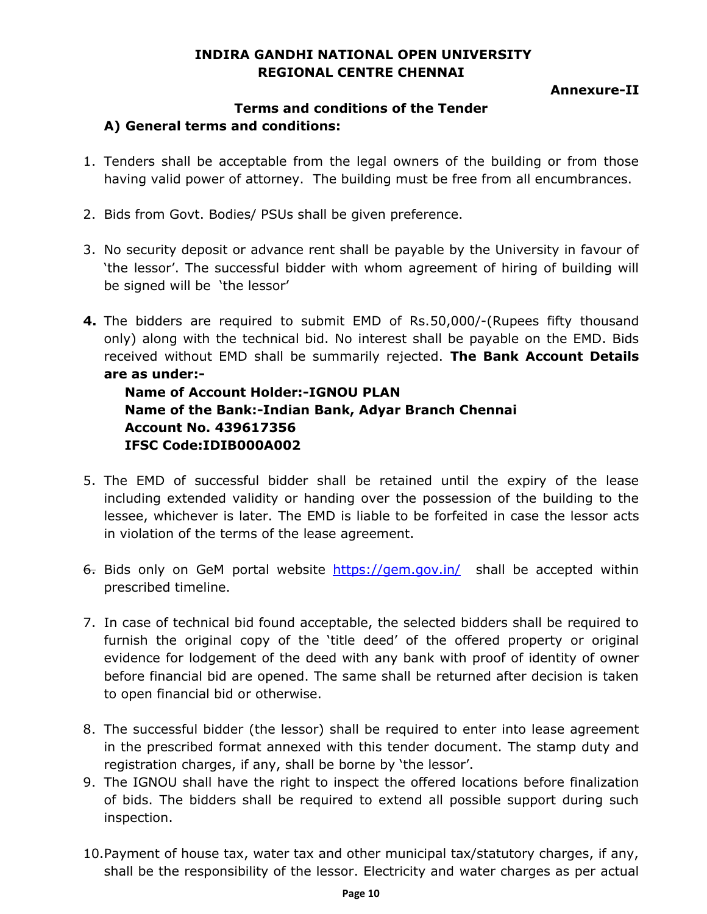## **INDIRA GANDHI NATIONAL OPEN UNIVERSITY REGIONAL CENTRE CHENNAI**

### **Annexure-II**

## **Terms and conditions of the Tender A) General terms and conditions:**

- 1. Tenders shall be acceptable from the legal owners of the building or from those having valid power of attorney. The building must be free from all encumbrances.
- 2. Bids from Govt. Bodies/ PSUs shall be given preference.
- 3. No security deposit or advance rent shall be payable by the University in favour of 'the lessor'. The successful bidder with whom agreement of hiring of building will be signed will be 'the lessor'
- **4.** The bidders are required to submit EMD of Rs.50,000/-(Rupees fifty thousand only) along with the technical bid. No interest shall be payable on the EMD. Bids received without EMD shall be summarily rejected. **The Bank Account Details are as under:-**

**Name of Account Holder:-IGNOU PLAN Name of the Bank:-Indian Bank, Adyar Branch Chennai Account No. 439617356 IFSC Code:IDIB000A002**

- 5. The EMD of successful bidder shall be retained until the expiry of the lease including extended validity or handing over the possession of the building to the lessee, whichever is later. The EMD is liable to be forfeited in case the lessor acts in violation of the terms of the lease agreement.
- 6. Bids only on GeM portal website <https://gem.gov.in/> shall be accepted within prescribed timeline.
- 7. In case of technical bid found acceptable, the selected bidders shall be required to furnish the original copy of the 'title deed' of the offered property or original evidence for lodgement of the deed with any bank with proof of identity of owner before financial bid are opened. The same shall be returned after decision is taken to open financial bid or otherwise.
- 8. The successful bidder (the lessor) shall be required to enter into lease agreement in the prescribed format annexed with this tender document. The stamp duty and registration charges, if any, shall be borne by 'the lessor'.
- 9. The IGNOU shall have the right to inspect the offered locations before finalization of bids. The bidders shall be required to extend all possible support during such inspection.
- 10.Payment of house tax, water tax and other municipal tax/statutory charges, if any, shall be the responsibility of the lessor. Electricity and water charges as per actual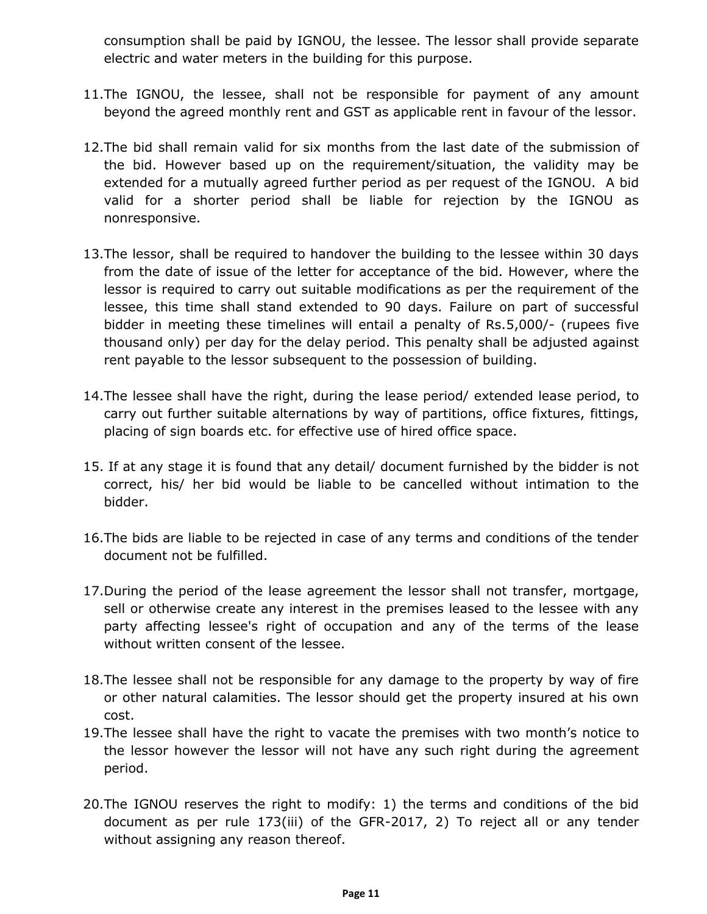consumption shall be paid by IGNOU, the lessee. The lessor shall provide separate electric and water meters in the building for this purpose.

- 11.The IGNOU, the lessee, shall not be responsible for payment of any amount beyond the agreed monthly rent and GST as applicable rent in favour of the lessor.
- 12.The bid shall remain valid for six months from the last date of the submission of the bid. However based up on the requirement/situation, the validity may be extended for a mutually agreed further period as per request of the IGNOU. A bid valid for a shorter period shall be liable for rejection by the IGNOU as nonresponsive.
- 13.The lessor, shall be required to handover the building to the lessee within 30 days from the date of issue of the letter for acceptance of the bid. However, where the lessor is required to carry out suitable modifications as per the requirement of the lessee, this time shall stand extended to 90 days. Failure on part of successful bidder in meeting these timelines will entail a penalty of Rs.5,000/- (rupees five thousand only) per day for the delay period. This penalty shall be adjusted against rent payable to the lessor subsequent to the possession of building.
- 14.The lessee shall have the right, during the lease period/ extended lease period, to carry out further suitable alternations by way of partitions, office fixtures, fittings, placing of sign boards etc. for effective use of hired office space.
- 15. If at any stage it is found that any detail/ document furnished by the bidder is not correct, his/ her bid would be liable to be cancelled without intimation to the bidder.
- 16.The bids are liable to be rejected in case of any terms and conditions of the tender document not be fulfilled.
- 17.During the period of the lease agreement the lessor shall not transfer, mortgage, sell or otherwise create any interest in the premises leased to the lessee with any party affecting lessee's right of occupation and any of the terms of the lease without written consent of the lessee.
- 18.The lessee shall not be responsible for any damage to the property by way of fire or other natural calamities. The lessor should get the property insured at his own cost.
- 19.The lessee shall have the right to vacate the premises with two month's notice to the lessor however the lessor will not have any such right during the agreement period.
- 20.The IGNOU reserves the right to modify: 1) the terms and conditions of the bid document as per rule 173(iii) of the GFR-2017, 2) To reject all or any tender without assigning any reason thereof.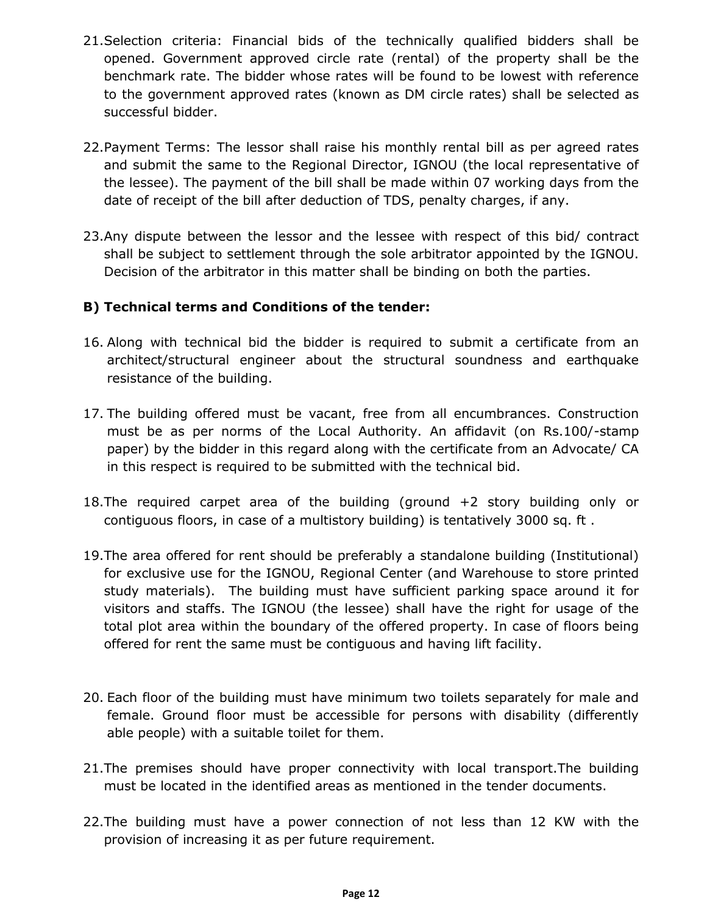- 21.Selection criteria: Financial bids of the technically qualified bidders shall be opened. Government approved circle rate (rental) of the property shall be the benchmark rate. The bidder whose rates will be found to be lowest with reference to the government approved rates (known as DM circle rates) shall be selected as successful bidder.
- 22.Payment Terms: The lessor shall raise his monthly rental bill as per agreed rates and submit the same to the Regional Director, IGNOU (the local representative of the lessee). The payment of the bill shall be made within 07 working days from the date of receipt of the bill after deduction of TDS, penalty charges, if any.
- 23.Any dispute between the lessor and the lessee with respect of this bid/ contract shall be subject to settlement through the sole arbitrator appointed by the IGNOU. Decision of the arbitrator in this matter shall be binding on both the parties.

## **B) Technical terms and Conditions of the tender:**

- 16. Along with technical bid the bidder is required to submit a certificate from an architect/structural engineer about the structural soundness and earthquake resistance of the building.
- 17. The building offered must be vacant, free from all encumbrances. Construction must be as per norms of the Local Authority. An affidavit (on Rs.100/-stamp paper) by the bidder in this regard along with the certificate from an Advocate/ CA in this respect is required to be submitted with the technical bid.
- 18.The required carpet area of the building (ground +2 story building only or contiguous floors, in case of a multistory building) is tentatively 3000 sq. ft .
- 19.The area offered for rent should be preferably a standalone building (Institutional) for exclusive use for the IGNOU, Regional Center (and Warehouse to store printed study materials). The building must have sufficient parking space around it for visitors and staffs. The IGNOU (the lessee) shall have the right for usage of the total plot area within the boundary of the offered property. In case of floors being offered for rent the same must be contiguous and having lift facility.
- 20. Each floor of the building must have minimum two toilets separately for male and female. Ground floor must be accessible for persons with disability (differently able people) with a suitable toilet for them.
- 21.The premises should have proper connectivity with local transport.The building must be located in the identified areas as mentioned in the tender documents.
- 22.The building must have a power connection of not less than 12 KW with the provision of increasing it as per future requirement.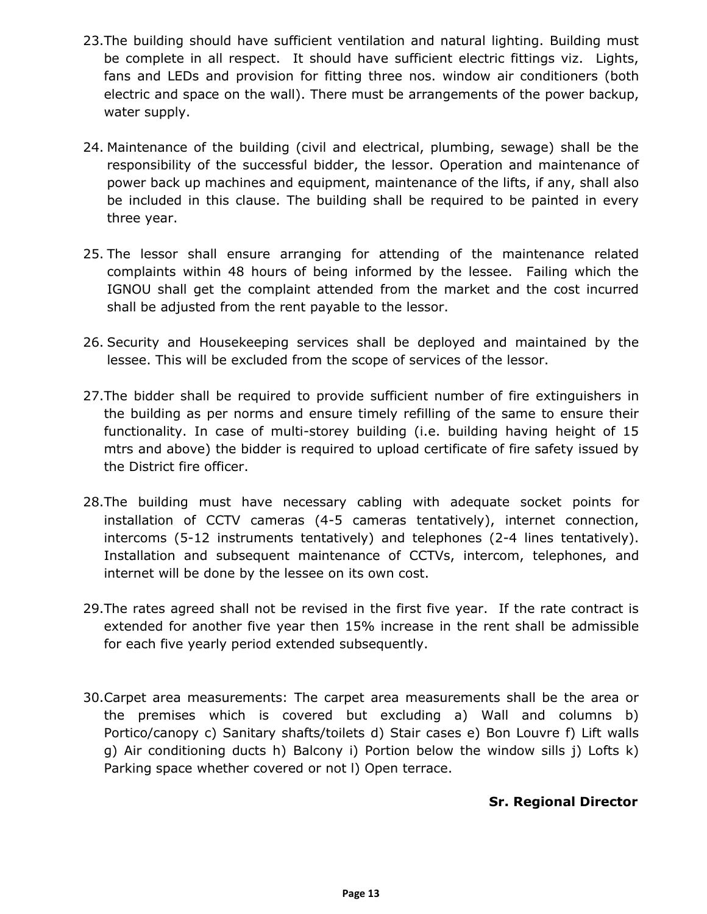- 23.The building should have sufficient ventilation and natural lighting. Building must be complete in all respect. It should have sufficient electric fittings viz. Lights, fans and LEDs and provision for fitting three nos. window air conditioners (both electric and space on the wall). There must be arrangements of the power backup, water supply.
- 24. Maintenance of the building (civil and electrical, plumbing, sewage) shall be the responsibility of the successful bidder, the lessor. Operation and maintenance of power back up machines and equipment, maintenance of the lifts, if any, shall also be included in this clause. The building shall be required to be painted in every three year.
- 25. The lessor shall ensure arranging for attending of the maintenance related complaints within 48 hours of being informed by the lessee. Failing which the IGNOU shall get the complaint attended from the market and the cost incurred shall be adjusted from the rent payable to the lessor.
- 26. Security and Housekeeping services shall be deployed and maintained by the lessee. This will be excluded from the scope of services of the lessor.
- 27.The bidder shall be required to provide sufficient number of fire extinguishers in the building as per norms and ensure timely refilling of the same to ensure their functionality. In case of multi-storey building (i.e. building having height of 15 mtrs and above) the bidder is required to upload certificate of fire safety issued by the District fire officer.
- 28.The building must have necessary cabling with adequate socket points for installation of CCTV cameras (4-5 cameras tentatively), internet connection, intercoms (5-12 instruments tentatively) and telephones (2-4 lines tentatively). Installation and subsequent maintenance of CCTVs, intercom, telephones, and internet will be done by the lessee on its own cost.
- 29.The rates agreed shall not be revised in the first five year. If the rate contract is extended for another five year then 15% increase in the rent shall be admissible for each five yearly period extended subsequently.
- 30.Carpet area measurements: The carpet area measurements shall be the area or the premises which is covered but excluding a) Wall and columns b) Portico/canopy c) Sanitary shafts/toilets d) Stair cases e) Bon Louvre f) Lift walls g) Air conditioning ducts h) Balcony i) Portion below the window sills j) Lofts k) Parking space whether covered or not l) Open terrace.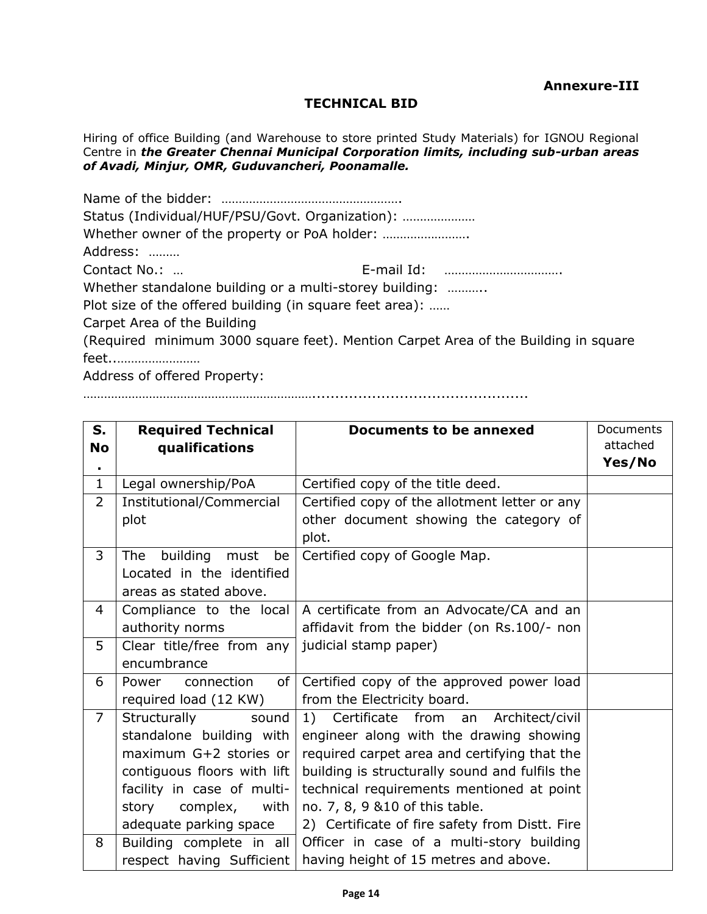## **TECHNICAL BID**

Hiring of office Building (and Warehouse to store printed Study Materials) for IGNOU Regional Centre in *the Greater Chennai Municipal Corporation limits, including sub-urban areas of Avadi, Minjur, OMR, Guduvancheri, Poonamalle.*

| Status (Individual/HUF/PSU/Govt. Organization):          |                                                                                    |
|----------------------------------------------------------|------------------------------------------------------------------------------------|
|                                                          |                                                                                    |
| Address:                                                 |                                                                                    |
| Contact No.:                                             |                                                                                    |
|                                                          | Whether standalone building or a multi-storey building:                            |
| Plot size of the offered building (in square feet area): |                                                                                    |
| Carpet Area of the Building                              |                                                                                    |
|                                                          | (Required minimum 3000 square feet). Mention Carpet Area of the Building in square |
| feet                                                     |                                                                                    |
| Address of offered Dronartur                             |                                                                                    |

Address of offered Property:

…………………………………………………………...............................................

| S.             | <b>Required Technical</b>              | Documents to be annexed                        | <b>Documents</b> |
|----------------|----------------------------------------|------------------------------------------------|------------------|
| <b>No</b>      | qualifications                         |                                                | attached         |
| ٠              |                                        |                                                | Yes/No           |
| $\mathbf{1}$   | Legal ownership/PoA                    | Certified copy of the title deed.              |                  |
| $\overline{2}$ | Institutional/Commercial               | Certified copy of the allotment letter or any  |                  |
|                | plot                                   | other document showing the category of         |                  |
|                |                                        | plot.                                          |                  |
| 3              | building<br><b>The</b><br>must<br>be   | Certified copy of Google Map.                  |                  |
|                | Located in the identified              |                                                |                  |
|                | areas as stated above.                 |                                                |                  |
| 4              | Compliance to the local                | A certificate from an Advocate/CA and an       |                  |
|                | authority norms                        | affidavit from the bidder (on Rs.100/- non     |                  |
| 5              | Clear title/free from any              | judicial stamp paper)                          |                  |
|                | encumbrance                            |                                                |                  |
| 6              | of <sub>l</sub><br>connection<br>Power | Certified copy of the approved power load      |                  |
|                | required load (12 KW)                  | from the Electricity board.                    |                  |
| $\overline{7}$ | Structurally<br>sound                  | 1) Certificate from an Architect/civil         |                  |
|                | standalone building with               | engineer along with the drawing showing        |                  |
|                | maximum G+2 stories or                 | required carpet area and certifying that the   |                  |
|                | contiguous floors with lift            | building is structurally sound and fulfils the |                  |
|                | facility in case of multi-             | technical requirements mentioned at point      |                  |
|                | story complex, with                    | no. 7, 8, 9 & 10 of this table.                |                  |
|                | adequate parking space                 | 2) Certificate of fire safety from Distt. Fire |                  |
| 8              | Building complete in all               | Officer in case of a multi-story building      |                  |
|                | respect having Sufficient              | having height of 15 metres and above.          |                  |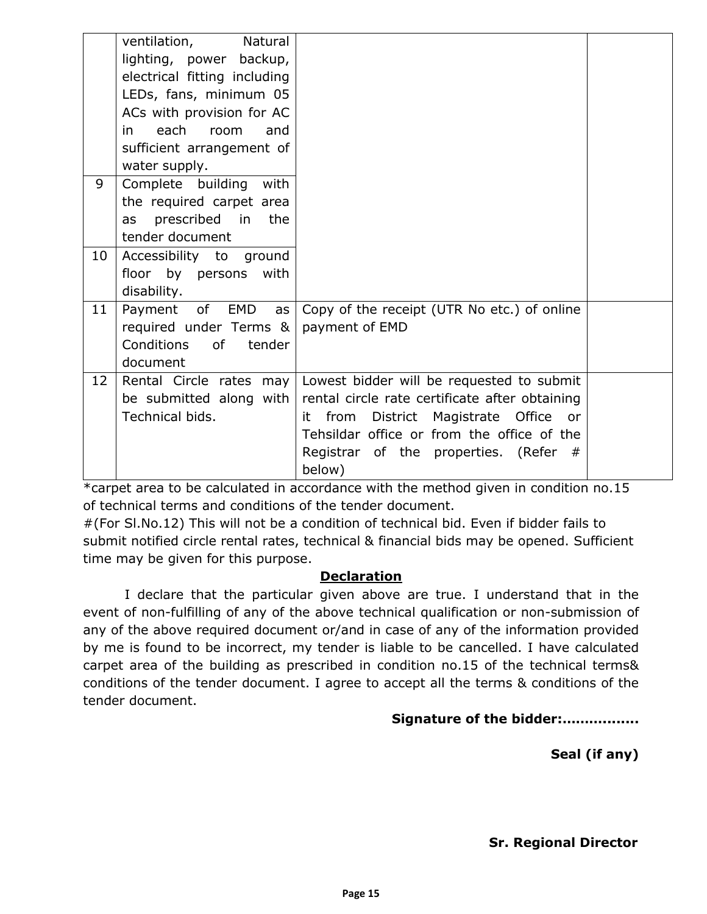|    | Natural<br>ventilation,<br>lighting, power backup,<br>electrical fitting including<br>LEDs, fans, minimum 05<br>ACs with provision for AC<br>each<br>room<br>in in<br>and<br>sufficient arrangement of |                                                                                            |  |
|----|--------------------------------------------------------------------------------------------------------------------------------------------------------------------------------------------------------|--------------------------------------------------------------------------------------------|--|
|    | water supply.                                                                                                                                                                                          |                                                                                            |  |
| 9  | Complete building with                                                                                                                                                                                 |                                                                                            |  |
|    | the required carpet area                                                                                                                                                                               |                                                                                            |  |
|    | prescribed in<br>the<br>as                                                                                                                                                                             |                                                                                            |  |
|    | tender document                                                                                                                                                                                        |                                                                                            |  |
| 10 | Accessibility to ground                                                                                                                                                                                |                                                                                            |  |
|    | floor by persons<br>with<br>disability.                                                                                                                                                                |                                                                                            |  |
| 11 | Payment of EMD<br>as                                                                                                                                                                                   | Copy of the receipt (UTR No etc.) of online                                                |  |
|    | required under Terms &                                                                                                                                                                                 | payment of EMD                                                                             |  |
|    | Conditions<br><b>of</b><br>tender                                                                                                                                                                      |                                                                                            |  |
|    | document                                                                                                                                                                                               |                                                                                            |  |
| 12 | Rental Circle rates may                                                                                                                                                                                | Lowest bidder will be requested to submit                                                  |  |
|    | be submitted along with<br>Technical bids.                                                                                                                                                             | rental circle rate certificate after obtaining                                             |  |
|    |                                                                                                                                                                                                        | from<br>District Magistrate Office or<br>it.<br>Tehsildar office or from the office of the |  |
|    |                                                                                                                                                                                                        | Registrar of the properties. (Refer #                                                      |  |
|    |                                                                                                                                                                                                        | below)                                                                                     |  |

\*carpet area to be calculated in accordance with the method given in condition no.15 of technical terms and conditions of the tender document.

#(For Sl.No.12) This will not be a condition of technical bid. Even if bidder fails to submit notified circle rental rates, technical & financial bids may be opened. Sufficient time may be given for this purpose.

## **Declaration**

I declare that the particular given above are true. I understand that in the event of non-fulfilling of any of the above technical qualification or non-submission of any of the above required document or/and in case of any of the information provided by me is found to be incorrect, my tender is liable to be cancelled. I have calculated carpet area of the building as prescribed in condition no.15 of the technical terms& conditions of the tender document. I agree to accept all the terms & conditions of the tender document.

## **Signature of the bidder:………........**

## **Seal (if any)**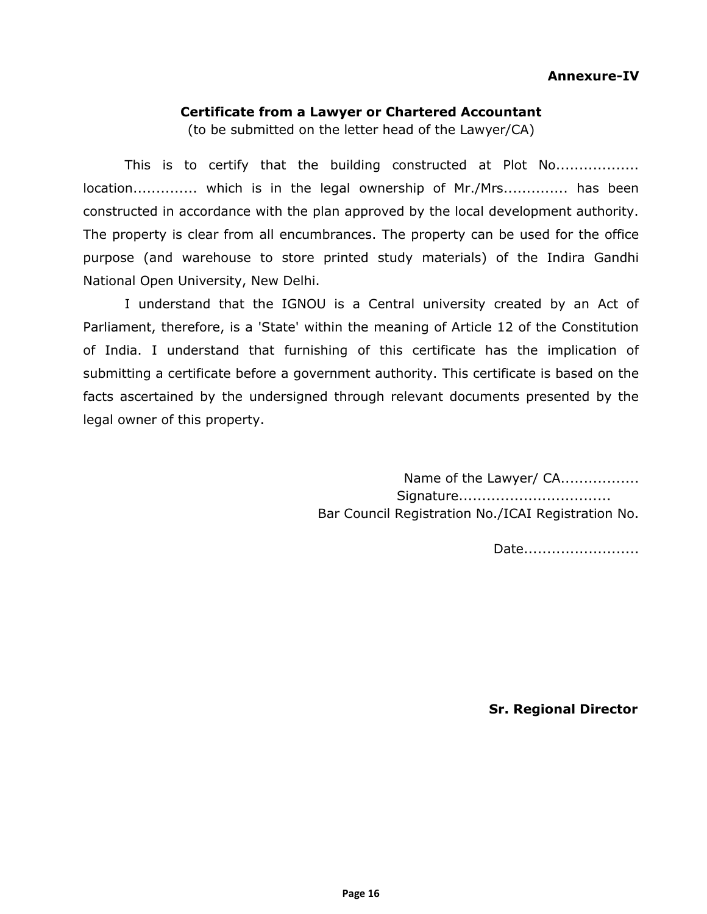### **Certificate from a Lawyer or Chartered Accountant**

(to be submitted on the letter head of the Lawyer/CA)

This is to certify that the building constructed at Plot No.................. location.............. which is in the legal ownership of Mr./Mrs.............. has been constructed in accordance with the plan approved by the local development authority. The property is clear from all encumbrances. The property can be used for the office purpose (and warehouse to store printed study materials) of the Indira Gandhi National Open University, New Delhi.

I understand that the IGNOU is a Central university created by an Act of Parliament, therefore, is a 'State' within the meaning of Article 12 of the Constitution of India. I understand that furnishing of this certificate has the implication of submitting a certificate before a government authority. This certificate is based on the facts ascertained by the undersigned through relevant documents presented by the legal owner of this property.

> Name of the Lawyer/ CA................. Signature................................. Bar Council Registration No./ICAI Registration No.

> > Date.........................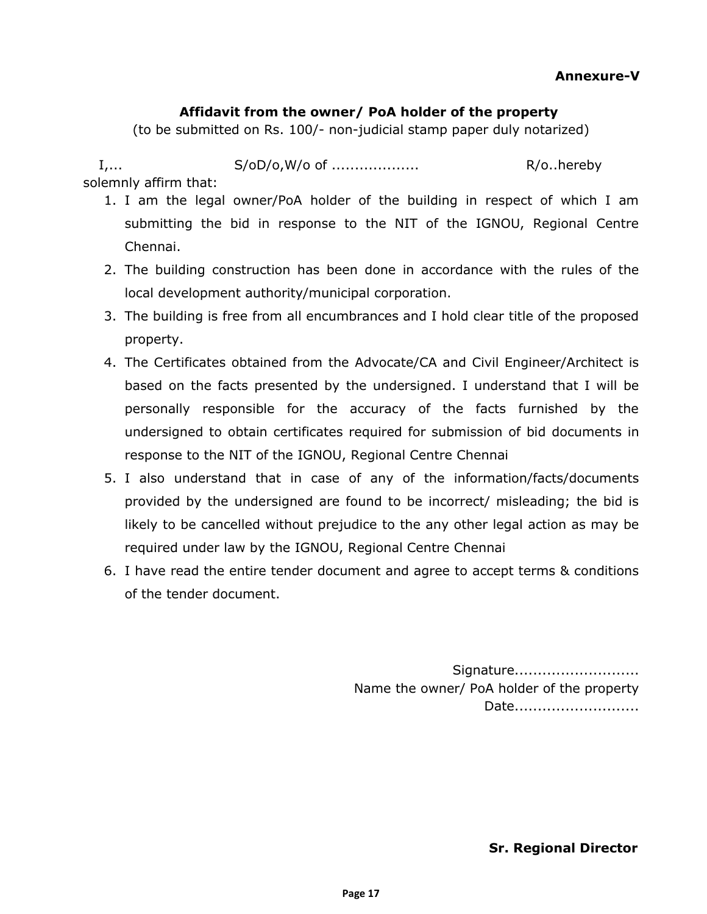## **Annexure-V**

### **Affidavit from the owner/ PoA holder of the property**

(to be submitted on Rs. 100/- non-judicial stamp paper duly notarized)

I,... S/oD/o,W/o of ................... R/o..hereby solemnly affirm that:

- 1. I am the legal owner/PoA holder of the building in respect of which I am submitting the bid in response to the NIT of the IGNOU, Regional Centre Chennai.
- 2. The building construction has been done in accordance with the rules of the local development authority/municipal corporation.
- 3. The building is free from all encumbrances and I hold clear title of the proposed property.
- 4. The Certificates obtained from the Advocate/CA and Civil Engineer/Architect is based on the facts presented by the undersigned. I understand that I will be personally responsible for the accuracy of the facts furnished by the undersigned to obtain certificates required for submission of bid documents in response to the NIT of the IGNOU, Regional Centre Chennai
- 5. I also understand that in case of any of the information/facts/documents provided by the undersigned are found to be incorrect/ misleading; the bid is likely to be cancelled without prejudice to the any other legal action as may be required under law by the IGNOU, Regional Centre Chennai
- 6. I have read the entire tender document and agree to accept terms & conditions of the tender document.

Signature............................ Name the owner/ PoA holder of the property Date..........................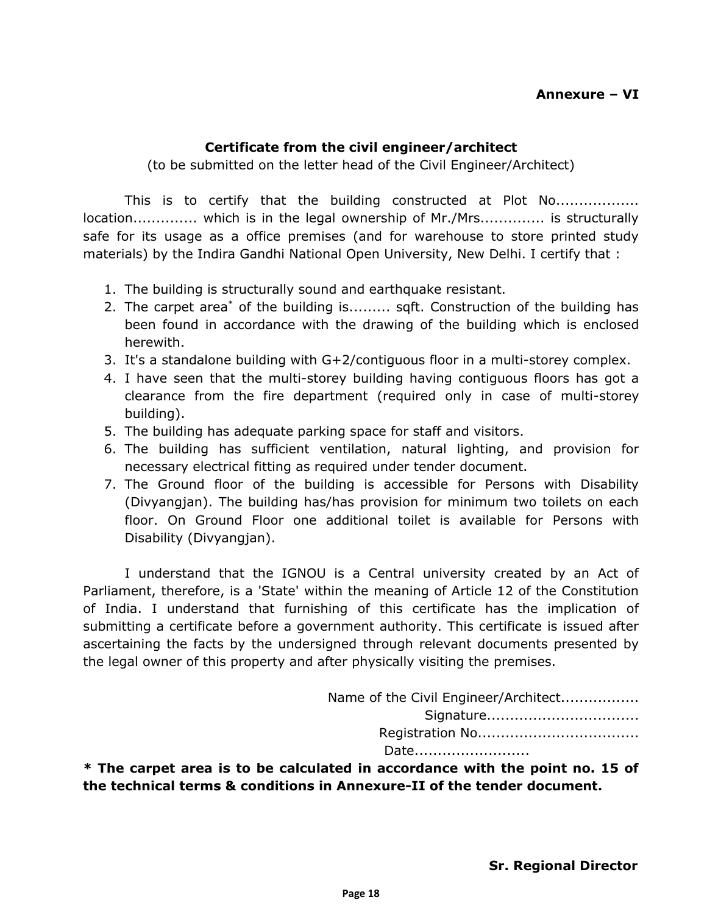## **Certificate from the civil engineer/architect**

(to be submitted on the letter head of the Civil Engineer/Architect)

This is to certify that the building constructed at Plot No.................. location.............. which is in the legal ownership of Mr./Mrs.............. is structurally safe for its usage as a office premises (and for warehouse to store printed study materials) by the Indira Gandhi National Open University, New Delhi. I certify that :

- 1. The building is structurally sound and earthquake resistant.
- 2. The carpet area\* of the building is......... sqft. Construction of the building has been found in accordance with the drawing of the building which is enclosed herewith.
- 3. It's a standalone building with G+2/contiguous floor in a multi-storey complex.
- 4. I have seen that the multi-storey building having contiguous floors has got a clearance from the fire department (required only in case of multi-storey building).
- 5. The building has adequate parking space for staff and visitors.
- 6. The building has sufficient ventilation, natural lighting, and provision for necessary electrical fitting as required under tender document.
- 7. The Ground floor of the building is accessible for Persons with Disability (Divyangjan). The building has/has provision for minimum two toilets on each floor. On Ground Floor one additional toilet is available for Persons with Disability (Divyangjan).

I understand that the IGNOU is a Central university created by an Act of Parliament, therefore, is a 'State' within the meaning of Article 12 of the Constitution of India. I understand that furnishing of this certificate has the implication of submitting a certificate before a government authority. This certificate is issued after ascertaining the facts by the undersigned through relevant documents presented by the legal owner of this property and after physically visiting the premises.

| Name of the Civil Engineer/Architect |  |
|--------------------------------------|--|
| Signature                            |  |
|                                      |  |
| Date                                 |  |

**\* The carpet area is to be calculated in accordance with the point no. 15 of the technical terms & conditions in Annexure-II of the tender document.**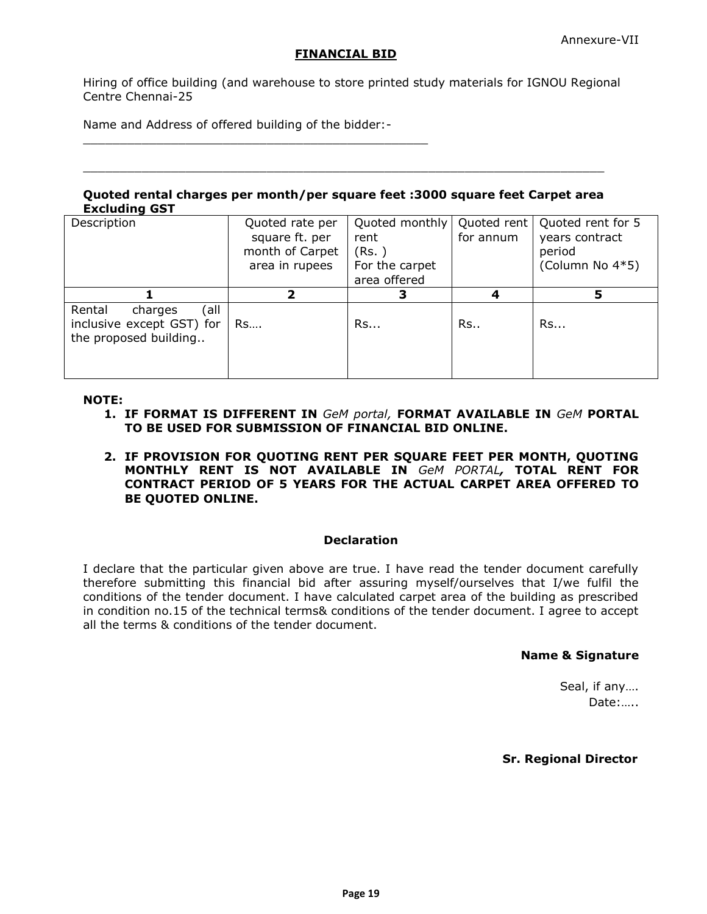### **FINANCIAL BID**

Hiring of office building (and warehouse to store printed study materials for IGNOU Regional Centre Chennai-25

Name and Address of offered building of the bidder:-

\_\_\_\_\_\_\_\_\_\_\_\_\_\_\_\_\_\_\_\_\_\_\_\_\_\_\_\_\_\_\_\_\_\_\_\_\_\_\_\_\_\_\_\_\_\_\_

#### **Quoted rental charges per month/per square feet :3000 square feet Carpet area Excluding GST**

 $\_$  ,  $\_$  ,  $\_$  ,  $\_$  ,  $\_$  ,  $\_$  ,  $\_$  ,  $\_$  ,  $\_$  ,  $\_$  ,  $\_$  ,  $\_$  ,  $\_$  ,  $\_$  ,  $\_$  ,  $\_$  ,  $\_$  ,  $\_$  ,  $\_$  ,  $\_$  ,  $\_$ 

| Description                                                                     | Quoted rate per<br>square ft. per<br>month of Carpet<br>area in rupees | Quoted monthly<br>rent<br>(Rs. )<br>For the carpet<br>area offered | Quoted rent<br>for annum | Quoted rent for 5<br>years contract<br>period<br>(Column No 4*5) |
|---------------------------------------------------------------------------------|------------------------------------------------------------------------|--------------------------------------------------------------------|--------------------------|------------------------------------------------------------------|
|                                                                                 | 2                                                                      | З                                                                  |                          |                                                                  |
| (all<br>Rental<br>charges<br>inclusive except GST) for<br>the proposed building | Rs                                                                     | Rs                                                                 | Rs                       | Rs                                                               |

#### **NOTE:**

- **1. IF FORMAT IS DIFFERENT IN** *GeM portal,* **FORMAT AVAILABLE IN** *GeM* **PORTAL TO BE USED FOR SUBMISSION OF FINANCIAL BID ONLINE.**
- **2. IF PROVISION FOR QUOTING RENT PER SQUARE FEET PER MONTH, QUOTING MONTHLY RENT IS NOT AVAILABLE IN** *GeM PORTAL,* **TOTAL RENT FOR CONTRACT PERIOD OF 5 YEARS FOR THE ACTUAL CARPET AREA OFFERED TO BE QUOTED ONLINE.**

#### **Declaration**

I declare that the particular given above are true. I have read the tender document carefully therefore submitting this financial bid after assuring myself/ourselves that I/we fulfil the conditions of the tender document. I have calculated carpet area of the building as prescribed in condition no.15 of the technical terms& conditions of the tender document. I agree to accept all the terms & conditions of the tender document.

#### **Name & Signature**

Seal, if any…. Date:…..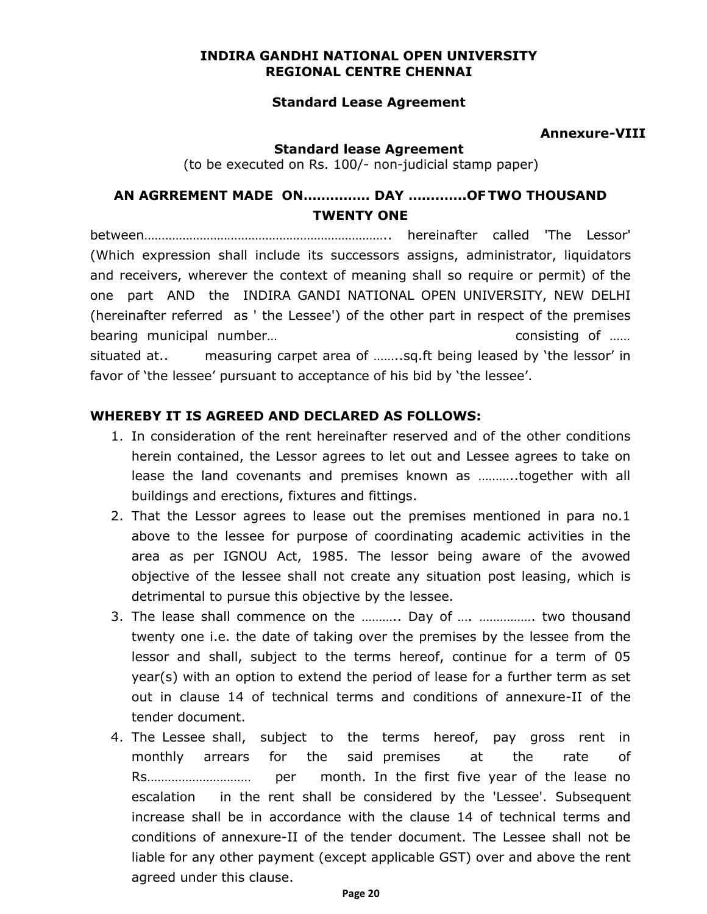### **INDIRA GANDHI NATIONAL OPEN UNIVERSITY REGIONAL CENTRE CHENNAI**

## **Standard Lease Agreement**

### **Annexure-VIII**

#### **Standard lease Agreement**

(to be executed on Rs. 100/- non-judicial stamp paper)

# **AN AGRREMENT MADE ON…………… DAY ……..…..OF TWO THOUSAND TWENTY ONE**

between…………………………………………………………….. hereinafter called 'The Lessor' (Which expression shall include its successors assigns, administrator, liquidators and receivers, wherever the context of meaning shall so require or permit) of the one part AND the INDIRA GANDI NATIONAL OPEN UNIVERSITY, NEW DELHI (hereinafter referred as ' the Lessee') of the other part in respect of the premises bearing municipal number... bearing municipal number... situated at.. measuring carpet area of ……..sq.ft being leased by 'the lessor' in favor of 'the lessee' pursuant to acceptance of his bid by 'the lessee'.

### **WHEREBY IT IS AGREED AND DECLARED AS FOLLOWS:**

- 1. In consideration of the rent hereinafter reserved and of the other conditions herein contained, the Lessor agrees to let out and Lessee agrees to take on lease the land covenants and premises known as ………..together with all buildings and erections, fixtures and fittings.
- 2. That the Lessor agrees to lease out the premises mentioned in para no.1 above to the lessee for purpose of coordinating academic activities in the area as per IGNOU Act, 1985. The lessor being aware of the avowed objective of the lessee shall not create any situation post leasing, which is detrimental to pursue this objective by the lessee.
- 3. The lease shall commence on the ……….. Day of …. ……………. two thousand twenty one i.e. the date of taking over the premises by the lessee from the lessor and shall, subject to the terms hereof, continue for a term of 05 year(s) with an option to extend the period of lease for a further term as set out in clause 14 of technical terms and conditions of annexure-II of the tender document.
- 4. The Lessee shall, subject to the terms hereof, pay gross rent in monthly arrears for the said premises at the rate of Rs………………………… per month. In the first five year of the lease no escalation in the rent shall be considered by the 'Lessee'. Subsequent increase shall be in accordance with the clause 14 of technical terms and conditions of annexure-II of the tender document. The Lessee shall not be liable for any other payment (except applicable GST) over and above the rent agreed under this clause.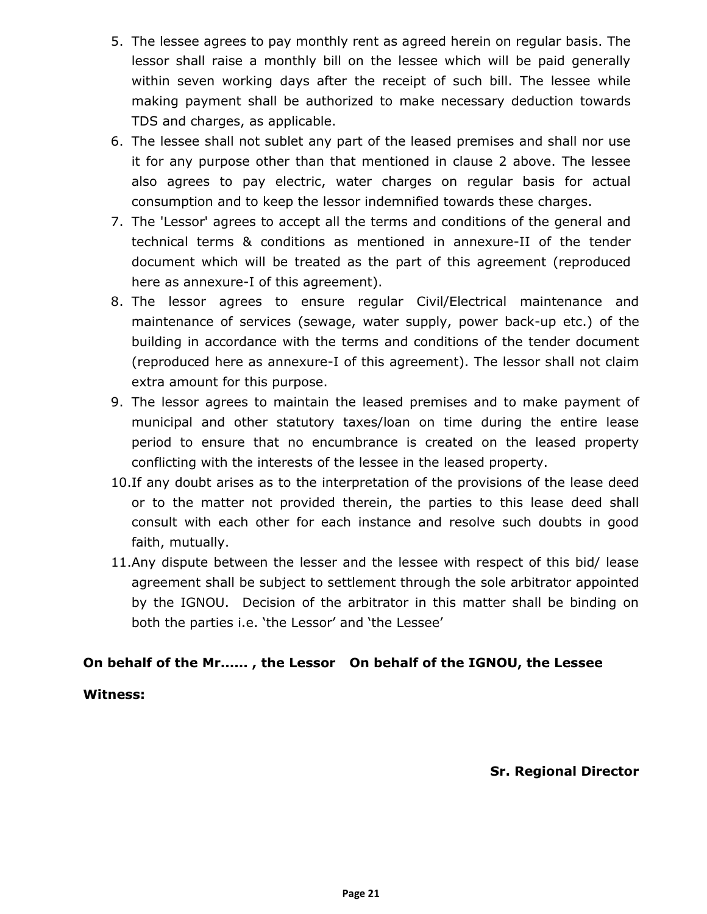- 5. The lessee agrees to pay monthly rent as agreed herein on regular basis. The lessor shall raise a monthly bill on the lessee which will be paid generally within seven working days after the receipt of such bill. The lessee while making payment shall be authorized to make necessary deduction towards TDS and charges, as applicable.
- 6. The lessee shall not sublet any part of the leased premises and shall nor use it for any purpose other than that mentioned in clause 2 above. The lessee also agrees to pay electric, water charges on regular basis for actual consumption and to keep the lessor indemnified towards these charges.
- 7. The 'Lessor' agrees to accept all the terms and conditions of the general and technical terms & conditions as mentioned in annexure-II of the tender document which will be treated as the part of this agreement (reproduced here as annexure-I of this agreement).
- 8. The lessor agrees to ensure regular Civil/Electrical maintenance and maintenance of services (sewage, water supply, power back-up etc.) of the building in accordance with the terms and conditions of the tender document (reproduced here as annexure-I of this agreement). The lessor shall not claim extra amount for this purpose.
- 9. The lessor agrees to maintain the leased premises and to make payment of municipal and other statutory taxes/loan on time during the entire lease period to ensure that no encumbrance is created on the leased property conflicting with the interests of the lessee in the leased property.
- 10.If any doubt arises as to the interpretation of the provisions of the lease deed or to the matter not provided therein, the parties to this lease deed shall consult with each other for each instance and resolve such doubts in good faith, mutually.
- 11.Any dispute between the lesser and the lessee with respect of this bid/ lease agreement shall be subject to settlement through the sole arbitrator appointed by the IGNOU. Decision of the arbitrator in this matter shall be binding on both the parties i.e. 'the Lessor' and 'the Lessee'

# **On behalf of the Mr...... , the Lessor On behalf of the IGNOU, the Lessee**

## **Witness:**